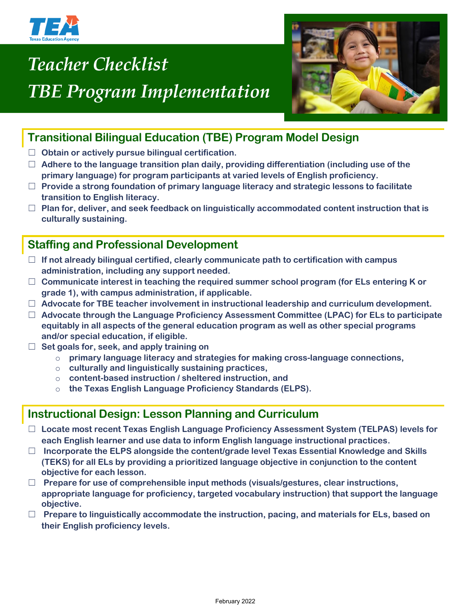

# *Teacher Checklist TBE Program Implementation*



## **Transitional Bilingual Education (TBE) Program Model Design**

- ☐ **Obtain or actively pursue bilingual certification.**
- ☐ **Adhere to the language transition plan daily, providing differentiation (including use of the primary language) for program participants at varied levels of English proficiency.**
- ☐ **Provide a strong foundation of primary language literacy and strategic lessons to facilitate transition to English literacy.**
- ☐ **Plan for, deliver, and seek feedback on linguistically accommodated content instruction that is culturally sustaining.**

## **Staffing and Professional Development**

- ☐ **If not already bilingual certified, clearly communicate path to certification with campus administration, including any support needed.**
- ☐ **Communicate interest in teaching the required summer school program (for ELs entering K or grade 1), with campus administration, if applicable.**
- ☐ **Advocate for TBE teacher involvement in instructional leadership and curriculum development.**
- ☐ **Advocate through the Language Proficiency Assessment Committee (LPAC) for ELs to participate equitably in all aspects of the general education program as well as other special programs and/or special education, if eligible.**
- ☐ **Set goals for, seek, and apply training on**
	- o **primary language literacy and strategies for making cross-language connections,**
	- o **culturally and linguistically sustaining practices,**
	- o **content-based instruction / sheltered instruction, and**
	- o **the Texas English Language Proficiency Standards (ELPS).**

#### **Instructional Design: Lesson Planning and Curriculum**

- ☐ **Locate most recent Texas English Language Proficiency Assessment System (TELPAS) levels for each English learner and use data to inform English language instructional practices.**
- ☐ **Incorporate the ELPS alongside the content/grade level Texas Essential Knowledge and Skills (TEKS) for all ELs by providing a prioritized language objective in conjunction to the content objective for each lesson.**
- ☐ **Prepare for use of comprehensible input methods (visuals/gestures, clear instructions, appropriate language for proficiency, targeted vocabulary instruction) that support the language objective.**
- ☐ **Prepare to linguistically accommodate the instruction, pacing, and materials for ELs, based on their English proficiency levels.**